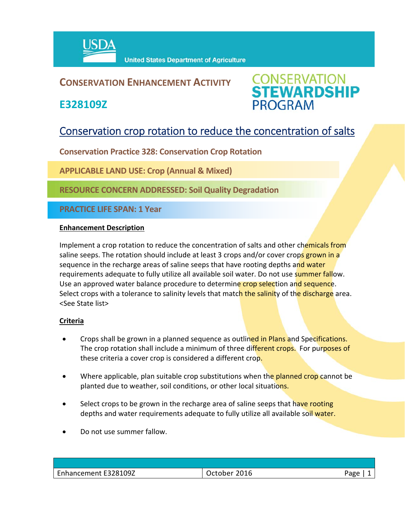

## **CONSERVATION ENHANCEMENT ACTIVITY**

**E328109Z**



# Conservation crop rotation to reduce the concentration of salts

**Conservation Practice 328: Conservation Crop Rotation**

**APPLICABLE LAND USE: Crop (Annual & Mixed)** 

**RESOURCE CONCERN ADDRESSED: Soil Quality Degradation**

**PRACTICE LIFE SPAN: 1 Year**

#### **Enhancement Description**

Implement a crop rotation to reduce the concentration of salts and other chemicals from saline seeps. The rotation should include at least 3 crops and/or cover crops grown in a sequence in the recharge areas of saline seeps that have rooting depths and water requirements adequate to fully utilize all available soil water. Do not use summer fallow. Use an approved water balance procedure to determine crop selection and sequence. Select crops with a tolerance to salinity levels that match the salinity of the discharge area. <See State list>

#### **Criteria**

- Crops shall be grown in a planned sequence as outlined in Plans and Specifications. The crop rotation shall include a minimum of three different crops. For purposes of these criteria a cover crop is considered a different crop.
- Where applicable, plan suitable crop substitutions when the planned crop cannot be planted due to weather, soil conditions, or other local situations.
- Select crops to be grown in the recharge area of saline seeps that have rooting depths and water requirements adequate to fully utilize all available soil water.
- Do not use summer fallow.

| Enhancement E328109Z | 2016<br>ctober/ | Page |
|----------------------|-----------------|------|